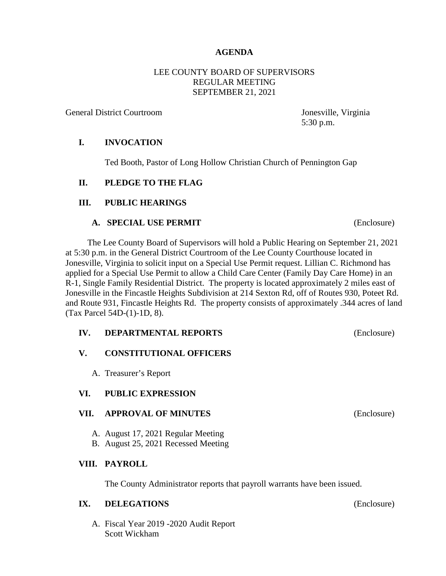### **AGENDA**

### LEE COUNTY BOARD OF SUPERVISORS REGULAR MEETING SEPTEMBER 21, 2021

General District Courtroom Jonesville, Virginia

5:30 p.m.

### **I. INVOCATION**

Ted Booth, Pastor of Long Hollow Christian Church of Pennington Gap

## **II. PLEDGE TO THE FLAG**

## **III. PUBLIC HEARINGS**

#### **A. SPECIAL USE PERMIT** (Enclosure)

 The Lee County Board of Supervisors will hold a Public Hearing on September 21, 2021 at 5:30 p.m. in the General District Courtroom of the Lee County Courthouse located in Jonesville, Virginia to solicit input on a Special Use Permit request. Lillian C. Richmond has applied for a Special Use Permit to allow a Child Care Center (Family Day Care Home) in an R-1, Single Family Residential District. The property is located approximately 2 miles east of Jonesville in the Fincastle Heights Subdivision at 214 Sexton Rd, off of Routes 930, Poteet Rd. and Route 931, Fincastle Heights Rd. The property consists of approximately .344 acres of land (Tax Parcel 54D-(1)-1D, 8).

#### **IV. DEPARTMENTAL REPORTS** (Enclosure)

## **V. CONSTITUTIONAL OFFICERS**

A. Treasurer's Report

#### **VI. PUBLIC EXPRESSION**

#### **VII. APPROVAL OF MINUTES** (Enclosure)

- A. August 17, 2021 Regular Meeting
- B. August 25, 2021 Recessed Meeting

## **VIII. PAYROLL**

The County Administrator reports that payroll warrants have been issued.

### **IX. DELEGATIONS** (Enclosure)

A. Fiscal Year 2019 -2020 Audit Report Scott Wickham